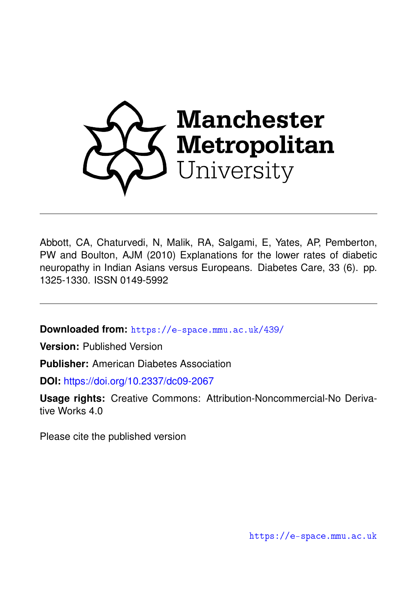

Abbott, CA, Chaturvedi, N, Malik, RA, Salgami, E, Yates, AP, Pemberton, PW and Boulton, AJM (2010) Explanations for the lower rates of diabetic neuropathy in Indian Asians versus Europeans. Diabetes Care, 33 (6). pp. 1325-1330. ISSN 0149-5992

**Downloaded from:** <https://e-space.mmu.ac.uk/439/>

**Version:** Published Version

**Publisher:** American Diabetes Association

**DOI:** <https://doi.org/10.2337/dc09-2067>

**Usage rights:** Creative Commons: Attribution-Noncommercial-No Derivative Works 4.0

Please cite the published version

<https://e-space.mmu.ac.uk>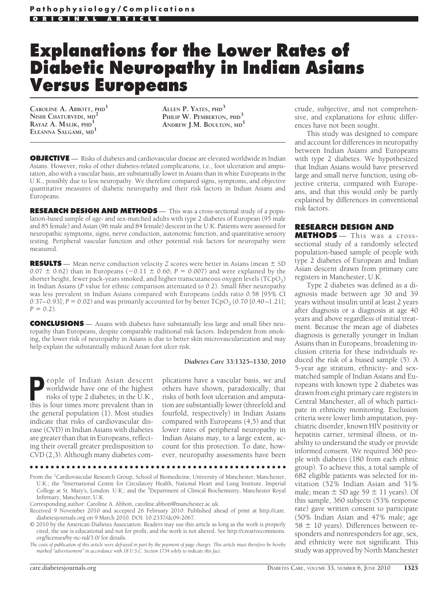# **Explanations for the Lower Rates of Diabetic Neuropathy in Indian Asians Versus Europeans**

**CAROLINE A. ABBOTT, PHD<sup>1</sup> NISHI CHATURVEDI, MD<sup>2</sup> RAYAZ A. MALIK, PHD<sup>1</sup> ELEANNA SALGAMI, MD<sup>1</sup>**

**ALLEN P. YATES, PHD<sup>3</sup> PHILIP W. PEMBERTON, PHD<sup>3</sup> ANDREW J.M. BOULTON, MD<sup>1</sup>**

**OBJECTIVE** — Risks of diabetes and cardiovascular disease are elevated worldwide in Indian Asians. However, risks of other diabetes-related complications, i.e., foot ulceration and amputation, also with a vascular basis, are substantially lower in Asians than in white Europeans in the U.K., possibly due to less neuropathy. We therefore compared signs, symptoms, and objective quantitative measures of diabetic neuropathy and their risk factors in Indian Asians and Europeans.

**RESEARCH DESIGN AND METHODS** — This was a cross-sectional study of a population-based sample of age- and sex-matched adults with type 2 diabetes of European (95 male and 85 female) and Asian (96 male and 84 female) descent in the U.K. Patients were assessed for neuropathic symptoms, signs, nerve conduction, autonomic function, and quantitative sensory testing. Peripheral vascular function and other potential risk factors for neuropathy were measured.

**RESULTS** — Mean nerve conduction velocity *Z* scores were better in Asians (mean  $\pm$  SD  $0.07 \pm 0.62$ ) than in Europeans ( $-0.11 \pm 0.60$ ; *P* = 0.007) and were explained by the shorter height, fewer pack-years smoked, and higher transcutaneous oxygen levels ( $TCpO<sub>2</sub>$ ) in Indian Asians (*P* value for ethnic comparison attenuated to 0.2). Small fiber neuropathy was less prevalent in Indian Asians compared with Europeans (odds ratio 0.58 [95% CI 0.37–0.93];  $P = 0.02$ ) and was primarily accounted for by better  $T C p O<sub>2</sub>$  (0.70 [0.40–1.21];  $P = 0.2$ .

**CONCLUSIONS** — Asians with diabetes have substantially less large and small fiber neuropathy than Europeans, despite comparable traditional risk factors. Independent from smoking, the lower risk of neuropathy in Asians is due to better skin microvascularization and may help explain the substantially reduced Asian foot ulcer risk.

#### *Diabetes Care* **33:1325–1330, 2010**

**People of Indian Asian descent**<br>worldwide have one of the highest<br>risks of type 2 diabetes; in the U.K.,<br>this is four times more prevalent than in worldwide have one of the highest this is four times more prevalent than in the general population (1). Most studies indicate that risks of cardiovascular disease (CVD) in Indian Asians with diabetes are greater than that in Europeans, reflecting their overall greater predisposition to CVD (2,3). Although many diabetes com-

plications have a vascular basis, we and others have shown, paradoxically, that risks of both foot ulceration and amputation are substantially lower (threefold and fourfold, respectively) in Indian Asians compared with Europeans (4,5) and that lower rates of peripheral neuropathy in Indian Asians may, to a large extent, account for this protection. To date, however, neuropathy assessments have been

●●●●●●●●●●●●●●●●●●●●●●●●●●●●●●●●●●●●●●●●●●●●●●●●●

crude, subjective, and not comprehensive, and explanations for ethnic differences have not been sought.

This study was designed to compare and account for differences in neuropathy between Indian Asians and Europeans with type 2 diabetes. We hypothesized that Indian Asians would have preserved large and small nerve function, using objective criteria, compared with Europeans, and that this would only be partly explained by differences in conventional risk factors.

## **RESEARCH DESIGN AND**

**METHODS** — This was a crosssectional study of a randomly selected population-based sample of people with type 2 diabetes of European and Indian Asian descent drawn from primary care registers in Manchester, U.K.

Type 2 diabetes was defined as a diagnosis made between age 30 and 39 years without insulin until at least 2 years after diagnosis or a diagnosis at age 40 years and above regardless of initial treatment. Because the mean age of diabetes diagnosis is generally younger in Indian Asians than in Europeans, broadening inclusion criteria for these individuals reduced the risk of a biased sample (5). A 5-year age stratum, ethnicity- and sexmatched sample of Indian Asians and Europeans with known type 2 diabetes was drawn from eight primary care registers in Central Manchester, all of which participate in ethnicity monitoring. Exclusion criteria were lower limb amputation, psychiatric disorder, known HIV positivity or hepatitis carrier, terminal illness, or inability to understand the study or provide informed consent. We required 360 people with diabetes (180 from each ethnic group). To achieve this, a total sample of 682 eligible patients was selected for invitation (52% Indian Asian and 51% male; mean  $\pm$  SD age 59  $\pm$  11 years). Of this sample, 360 subjects (53% response rate) gave written consent to participate (50% Indian Asian and 47% male; age  $58 \pm 10$  years). Differences between responders and nonresponders for age, sex, and ethnicity were not significant. This study was approved by North Manchester

From the <sup>1</sup>Cardiovascular Research Group, School of Biomedicine, University of Manchester, Manchester, U.K.; the <sup>2</sup>International Centre for Circulatory Health, National Heart and Lung Institute, Imperial College at St. Mary's, London. U.K.; and the <sup>3</sup>Department of Clinical Biochemistry, Manchester Royal Infirmary, Manchester, U.K.

Corresponding author: Caroline A. Abbott, caroline.abbott@manchester.ac.uk.

Received 9 November 2010 and accepted 26 February 2010. Published ahead of print at http://care. diabetesjournals.org on 9 March 2010. DOI: 10.2337/dc09-2067.

<sup>© 2010</sup> by the American Diabetes Association. Readers may use this article as long as the work is properly cited, the use is educational and not for profit, and the work is not altered. See http://creativecommons. org/licenses/by-nc-nd/3.0/ for details.

*The costs of publication of this article were defrayed in part by the payment of page charges. This article must therefore be hereby marked "advertisement" in accordance with 18 U.S.C. Section 1734 solely to indicate this fact.*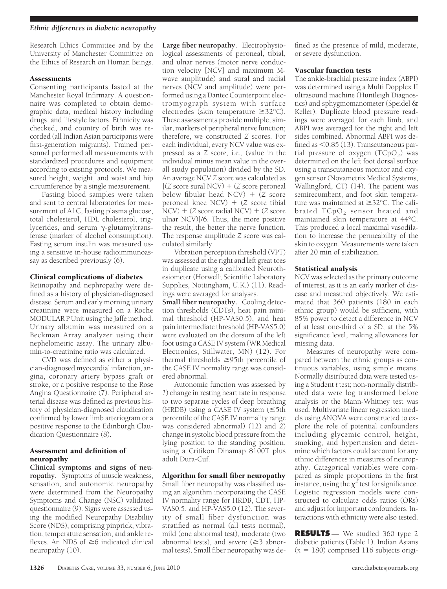#### *Ethnic differences in diabetic neuropathy*

Research Ethics Committee and by the University of Manchester Committee on the Ethics of Research on Human Beings.

#### **Assessments**

Consenting participants fasted at the Manchester Royal Infirmary. A questionnaire was completed to obtain demographic data, medical history including drugs, and lifestyle factors. Ethnicity was checked, and country of birth was recorded (all Indian Asian participants were first-generation migrants). Trained personnel performed all measurements with standardized procedures and equipment according to existing protocols. We measured height, weight, and waist and hip circumference by a single measurement.

Fasting blood samples were taken and sent to central laboratories for measurement of A1C, fasting plasma glucose, total cholesterol, HDL cholesterol, triglycerides, and serum  $\gamma$ -glutamyltransferase (marker of alcohol consumption). Fasting serum insulin was measured using a sensitive in-house radioimmunoassay as described previously (6).

## Clinical complications of diabetes

Retinopathy and nephropathy were defined as a history of physician-diagnosed disease. Serum and early morning urinary creatinine were measured on a Roche MODULAR P Unit using the Jaffe method. Urinary albumin was measured on a Beckman Array analyzer using their nephelometric assay. The urinary albumin-to-creatinine ratio was calculated.

CVD was defined as either a physician-diagnosed myocardial infarction, angina, coronary artery bypass graft or stroke, or a positive response to the Rose Angina Questionnaire (7). Peripheral arterial disease was defined as previous history of physician-diagnosed claudication confirmed by lower limb arteriogram or a positive response to the Edinburgh Claudication Questionnaire (8).

## Assessment and definition of neuropathy

**Clinical symptoms and signs of neuropathy.** Symptoms of muscle weakness, sensation, and autonomic neuropathy were determined from the Neuropathy Symptoms and Change (NSC) validated questionnaire (9). Signs were assessed using the modified Neuropathy Disability Score (NDS), comprising pinprick, vibration, temperature sensation, and ankle reflexes. An NDS of  $\geq$ 6 indicated clinical neuropathy (10).

**Large fiber neuropathy.** Electrophysiological assessments of peroneal, tibial, and ulnar nerves (motor nerve conduction velocity [NCV] and maximum Mwave amplitude) and sural and radial nerves (NCV and amplitude) were performed using a Dantec Counterpoint electromyograph system with surface electrodes (skin temperature  $\geq 32^{\circ}C$ ). These assessments provide multiple, similar, markers of peripheral nerve function; therefore, we constructed *Z* scores. For each individual, every NCV value was expressed as a *Z* score, i.e., (value in the individual minus mean value in the overall study population) divided by the SD. An average NCV *Z* score was calculated as  $[(Z \text{ score sural } NCV) + (Z \text{ score } \text{peronel}]$ below fibular head  $NCV$ ) + ( $Z$  score peroneal knee  $NCV$ ) + (*Z* score tibial  $NCV$  + (*Z* score radial  $NCV$ ) + (*Z* score ulnar NCV)]/6. Thus, the more positive the result, the better the nerve function. The response amplitude *Z* score was calculated similarly.

Vibration perception threshold (VPT) was assessed at the right and left great toes in duplicate using a calibrated Neurothesiometer (Horwell; Scientific Laboratory Supplies, Nottingham, U.K.) (11). Readings were averaged for analyses.

**Small fiber neuropathy.** Cooling detection thresholds (CDTs), heat pain minimal threshold (HP-VAS0.5), and heat pain intermediate threshold (HP-VAS5.0) were evaluated on the dorsum of the left foot using a CASE IV system (WR Medical Electronics, Stillwater, MN) (12). For thermal thresholds  $\geq$ 95th percentile of the CASE IV normality range was considered abnormal.

Autonomic function was assessed by *1*) change in resting heart rate in response to two separate cycles of deep breathing (HRDB) using a CASE IV system  $(\leq 5th)$ percentile of the CASE IV normality range was considered abnormal) (12) and *2*) change in systolic blood pressure from the lying position to the standing position, using a Critikon Dinamap 8100T plus adult Dura-Cuf.

## Algorithm for small fiber neuropathy

Small fiber neuropathy was classified using an algorithm incorporating the CASE IV normality range for HRDB, CDT, HP-VAS0.5, and HP-VAS5.0 (12). The severity of small fiber dysfunction was stratified as normal (all tests normal), mild (one abnormal test), moderate (two abnormal tests), and severe  $(\geq 3$  abnormal tests). Small fiber neuropathy was de-

fined as the presence of mild, moderate, or severe dysfunction.

#### Vascular function tests

The ankle-brachial pressure index (ABPI) was determined using a Multi Dopplex II ultrasound machine (Huntleigh Diagnostics) and sphygmomanometer (Speidel & Keller). Duplicate blood pressure readings were averaged for each limb, and ABPI was averaged for the right and left sides combined. Abnormal ABPI was defined as  $\leq 0.85$  (13). Transcutaneous partial pressure of oxygen  $(TCpO<sub>2</sub>)$  was determined on the left foot dorsal surface using a transcutaneous monitor and oxygen sensor (Novametrix Medical Systems, Wallingford, CT) (14). The patient was semirecumbent, and foot skin temperature was maintained at  $\geq$ 32°C. The calibrated TCpO<sub>2</sub> sensor heated and maintained skin temperature at 44°C. This produced a local maximal vasodilation to increase the permeability of the skin to oxygen. Measurements were taken after 20 min of stabilization.

## Statistical analysis

NCV was selected as the primary outcome of interest, as it is an early marker of disease and measured objectively. We estimated that 360 patients (180 in each ethnic group) would be sufficient, with 85% power to detect a difference in NCV of at least one-third of a SD, at the 5% significance level, making allowances for missing data.

Measures of neuropathy were compared between the ethnic groups as continuous variables, using simple means. Normally distributed data were tested using a Student *t* test; non-normally distributed data were log transformed before analysis or the Mann-Whitney test was used. Multivariate linear regression models using ANOVA were constructed to explore the role of potential confounders including glycemic control, height, smoking, and hypertension and determine which factors could account for any ethnic differences in measures of neuropathy. Categorical variables were compared as simple proportions in the first instance, using the  $\chi^2$  test for significance. Logistic regression models were constructed to calculate odds ratios (ORs) and adjust for important confounders. Interactions with ethnicity were also tested.

**RESULTS** — We studied 360 type 2 diabetic patients (Table 1). Indian Asians  $(n = 180)$  comprised 116 subjects origi-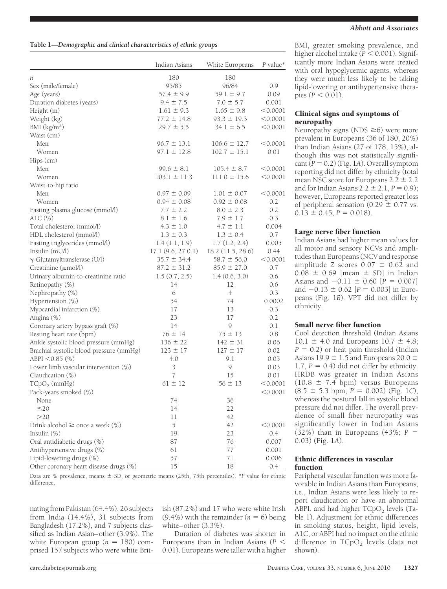|                                            | Indian Asians     | White Europeans   | $P$ value* |
|--------------------------------------------|-------------------|-------------------|------------|
| n                                          | 180               | 180               |            |
| Sex (male/female)                          | 95/85             | 96/84             | 0.9        |
| Age (years)                                | $57.4 \pm 9.9$    | $59.1 \pm 9.7$    | 0.09       |
| Duration diabetes (years)                  | $9.4 \pm 7.5$     | $7.0 \pm 5.7$     | 0.001      |
| Height (m)                                 | $1.61 \pm 9.3$    | $1.65 \pm 9.8$    | < 0.0001   |
| Weight (kg)                                | $77.2 \pm 14.8$   | $93.3 \pm 19.3$   | < 0.0001   |
| BMI (kg/m <sup>2</sup> )                   | $29.7 \pm 5.5$    | $34.1 \pm 6.5$    | < 0.0001   |
| Waist (cm)                                 |                   |                   |            |
| Men                                        | $96.7 \pm 13.1$   | $106.6 \pm 12.7$  | < 0.0001   |
| Women                                      | $97.1 \pm 12.8$   | $102.7 \pm 15.1$  | 0.01       |
| Hips (cm)                                  |                   |                   |            |
| Men                                        | $99.6 \pm 8.1$    | $105.4 \pm 8.7$   | < 0.0001   |
| Women                                      | $103.1 \pm 11.3$  | $111.0 \pm 15.6$  | < 0.0001   |
| Waist-to-hip ratio                         |                   |                   |            |
| Men                                        | $0.97 \pm 0.09$   | $1.01 \pm 0.07$   | < 0.0001   |
| Women                                      | $0.94 \pm 0.08$   | $0.92 \pm 0.08$   | 0.2        |
|                                            | $7.7 \pm 2.2$     | $8.0 \pm 2.3$     | 0.2        |
| Fasting plasma glucose (mmol/l)<br>A1C (%) | $8.1 \pm 1.6$     | $7.9 \pm 1.7$     | 0.3        |
| Total cholesterol (mmol/l)                 | $4.3 \pm 1.0$     | $4.7 \pm 1.1$     | 0.004      |
|                                            |                   |                   |            |
| HDL cholesterol (mmol/l)                   | $1.3 \pm 0.3$     | $1.3 \pm 0.4$     | 0.7        |
| Fasting triglycerides (mmol/l)             | 1.4(1.1, 1.9)     | 1.7(1.2, 2.4)     | 0.005      |
| Insulin (mU/l)                             | 17.1(9.6, 27.0.1) | 18.2 (11.5, 28.6) | 0.44       |
| $\gamma$ -Glutamyltransferase (U/l)        | $35.7 \pm 34.4$   | $58.7 \pm 56.0$   | < 0.0001   |
| Creatinine (µmol/l)                        | $87.2 \pm 31.2$   | $85.9 \pm 27.0$   | 0.7        |
| Urinary albumin-to-creatinine ratio        | 1.5(0.7, 2.5)     | 1.4(0.6, 3.0)     | 0.6        |
| Retinopathy (%)                            | 14                | 12                | 0.6        |
| Nephropathy (%)                            | 6                 | $\overline{4}$    | 0.3        |
| Hypertension (%)                           | 54                | 74                | 0.0002     |
| Myocardial infarction (%)                  | 17                | 13                | 0.3        |
| Angina (%)                                 | 23                | 17                | 0.2        |
| Coronary artery bypass graft (%)           | 14                | 9                 | 0.1        |
| Resting heart rate (bpm)                   | $76 \pm 14$       | $75 \pm 13$       | 0.8        |
| Ankle systolic blood pressure (mmHg)       | $136 \pm 22$      | $142 \pm 31$      | 0.06       |
| Brachial systolic blood pressure (mmHg)    | $123 \pm 17$      | $127 \pm 17$      | 0.02       |
| ABPI < 0.85 (%)                            | 4.0               | 9.1               | 0.05       |
| Lower limb vascular intervention (%)       | $\mathfrak{Z}$    | 9                 | 0.03       |
| Claudication $(\%)$                        | $\overline{7}$    | 15                | 0.01       |
| $T CpO2$ (mmHg)                            | $61 \pm 12$       | $56 \pm 13$       | < 0.0001   |
| Pack-years smoked (%)                      |                   |                   | < 0.0001   |
| None                                       | 74                | 36                |            |
| $\leq$ 20                                  | 14                | 22                |            |
| >20                                        | 11                | 42                |            |
| Drink alcohol $\geq$ once a week $(\%)$    | 5                 | 42                | < 0.0001   |
| Insulin $(\%)$                             | 19                | 23                | 0.4        |
| Oral antidiabetic drugs (%)                | 87                | 76                | 0.007      |
| Antihypertensive drugs (%)                 | 61                | 77                | 0.001      |
| Lipid-lowering drugs (%)                   | 57                | 71                | 0.006      |
| Other coronary heart disease drugs (%)     | 15                | 18                | 0.4        |

Data are % prevalence, means  $\pm$  SD, or geometric means (25th, 75th percentiles). \**P* value for ethnic difference.

nating from Pakistan (64.4%), 26 subjects from India (14.4%), 31 subjects from Bangladesh (17.2%), and 7 subjects classified as Indian Asian–other (3.9%). The white European group  $(n = 180)$  comprised 157 subjects who were white British (87.2%) and 17 who were white Irish (9.4%) with the remainder  $(n = 6)$  being white–other (3.3%).

Duration of diabetes was shorter in Europeans than in Indian Asians (*P* 0.01). Europeans were taller with a higher BMI, greater smoking prevalence, and higher alcohol intake ( $\overline{P}$  < 0.001). Significantly more Indian Asians were treated with oral hypoglycemic agents, whereas they were much less likely to be taking lipid-lowering or antihypertensive therapies ( $P < 0.01$ ).

## Clinical signs and symptoms of neuropathy

Neuropathy signs (NDS  $\geq$ 6) were more prevalent in Europeans (36 of 180, 20%) than Indian Asians (27 of 178, 15%), although this was not statistically significant  $(P = 0.2)$  (Fig. 1*A*). Overall symptom reporting did not differ by ethnicity (total mean NSC score for Europeans  $2.2 \pm 2.2$ and for Indian Asians  $2.2 \pm 2.1$ ,  $P = 0.9$ ; however, Europeans reported greater loss of peripheral sensation (0.29  $\pm$  0.77 vs.  $0.13 \pm 0.45$ ,  $P = 0.018$ ).

# Large nerve fiber function

Indian Asians had higher mean values for all motor and sensory NCVs and amplitudes than Europeans (NCV and response amplitude *Z* scores  $0.07 \pm 0.62$  and  $0.08 \pm 0.69$  [mean  $\pm$  SD] in Indian Asians and  $-0.11 \pm 0.60$  [ $P = 0.007$ ] and  $-0.13 \pm 0.62$  [ $P = 0.003$ ] in Europeans (Fig. 1*B*). VPT did not differ by ethnicity.

## Small nerve fiber function

Cool detection threshold (Indian Asians  $10.1 \pm 4.0$  and Europeans  $10.7 \pm 4.8$ ;  $P = 0.2$ ) or heat pain threshold (Indian Asians 19.9  $\pm$  1.5 and Europeans 20.0  $\pm$ 1.7,  $P = 0.4$ ) did not differ by ethnicity. HRDB was greater in Indian Asians  $(10.8 \pm 7.4$  bpm) versus Europeans  $(8.5 \pm 5.3 \text{ bpm}; P = 0.002)$  (Fig. 1*C*), whereas the postural fall in systolic blood pressure did not differ. The overall prevalence of small fiber neuropathy was significantly lower in Indian Asians (32%) than in Europeans (43%; *P* 0.03) (Fig. 1*A*).

#### Ethnic differences in vascular function

Peripheral vascular function was more favorable in Indian Asians than Europeans, i.e., Indian Asians were less likely to report claudication or have an abnormal ABPI, and had higher  $TCpO<sub>2</sub>$  levels (Table 1). Adjustment for ethnic differences in smoking status, height, lipid levels, A1C, or ABPI had no impact on the ethnic difference in  $T CpO<sub>2</sub>$  levels (data not shown).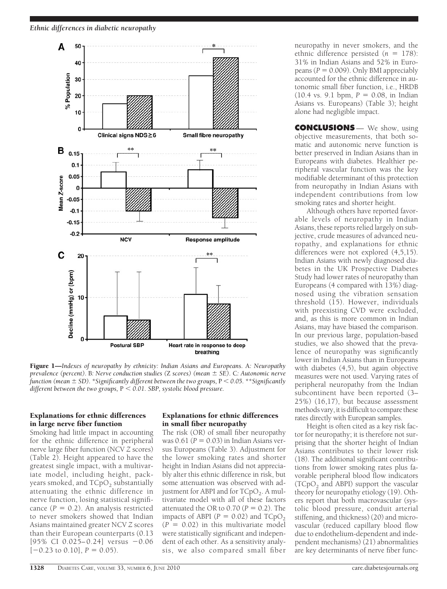

Figure 1—*Indexes of neuropathy by ethnicity: Indian Asians and Europeans.* A*: Neuropathy prevalence (percent).* B*: Nerve conduction studies (*Z *scores) (mean SE).* C*: Autonomic nerve function (mean SD). \*Significantly different between the two groups,* P *0.05. \*\*Significantly different between the two groups,* P *0.01. SBP, systolic blood pressure.*

# Explanations for ethnic differences in large nerve fiber function

Smoking had little impact in accounting for the ethnic difference in peripheral nerve large fiber function (NCV *Z* scores) (Table 2). Height appeared to have the greatest single impact, with a multivariate model, including height, packyears smoked, and  $TCpO<sub>2</sub>$  substantially attenuating the ethnic difference in nerve function, losing statistical significance  $(P = 0.2)$ . An analysis restricted to never smokers showed that Indian Asians maintained greater NCV *Z* scores than their European counterparts (0.13  $[95\% \text{ CI } 0.025 - 0.24]$  versus  $-0.06$  $[-0.23 \text{ to } 0.10]$ ,  $P = 0.05$ ).

## Explanations for ethnic differences in small fiber neuropathy

The risk (OR) of small fiber neuropathy was  $0.61$  ( $P = 0.03$ ) in Indian Asians versus Europeans (Table 3). Adjustment for the lower smoking rates and shorter height in Indian Asians did not appreciably alter this ethnic difference in risk, but some attenuation was observed with adjustment for ABPI and for  $TCpO<sub>2</sub>$ . A multivariate model with all of these factors attenuated the OR to  $0.70$  ( $P = 0.2$ ). The impacts of ABPI ( $P = 0.02$ ) and TCpO<sub>2</sub>  $(P = 0.02)$  in this multivariate model were statistically significant and independent of each other. As a sensitivity analysis, we also compared small fiber

neuropathy in never smokers, and the ethnic difference persisted  $(n = 178)$ : 31% in Indian Asians and 52% in Europeans  $(P = 0.009)$ . Only BMI appreciably accounted for the ethnic difference in autonomic small fiber function, i.e., HRDB  $(10.4 \text{ vs. } 9.1 \text{ bpm}, P = 0.08, \text{ in Indian})$ Asians vs. Europeans) (Table 3); height alone had negligible impact.

**CONCLUSIONS** — We show, using objective measurements, that both somatic and autonomic nerve function is better preserved in Indian Asians than in Europeans with diabetes. Healthier peripheral vascular function was the key modifiable determinant of this protection from neuropathy in Indian Asians with independent contributions from low smoking rates and shorter height.

Although others have reported favorable levels of neuropathy in Indian Asians, these reports relied largely on subjective, crude measures of advanced neuropathy, and explanations for ethnic differences were not explored (4,5,15). Indian Asians with newly diagnosed diabetes in the UK Prospective Diabetes Study had lower rates of neuropathy than Europeans (4 compared with 13%) diagnosed using the vibration sensation threshold  $(15)$ . However, individuals with preexisting CVD were excluded, and, as this is more common in Indian Asians, may have biased the comparison. In our previous large, population-based studies, we also showed that the prevalence of neuropathy was significantly lower in Indian Asians than in Europeans with diabetes (4,5), but again objective measures were not used. Varying rates of peripheral neuropathy from the Indian subcontinent have been reported (3– 25%) (16,17), but because assessment methods vary, it is difficult to compare these rates directly with European samples.

Height is often cited as a key risk factor for neuropathy; it is therefore not surprising that the shorter height of Indian Asians contributes to their lower risk (18). The additional significant contributions from lower smoking rates plus favorable peripheral blood flow indicators  $(TCpO<sub>2</sub>)$  and ABPI) support the vascular theory for neuropathy etiology (19). Others report that both macrovascular (systolic blood pressure, conduit arterial stiffening, and thickness) (20) and microvascular (reduced capillary blood flow due to endothelium-dependent and independent mechanisms) (21) abnormalities are key determinants of nerve fiber func-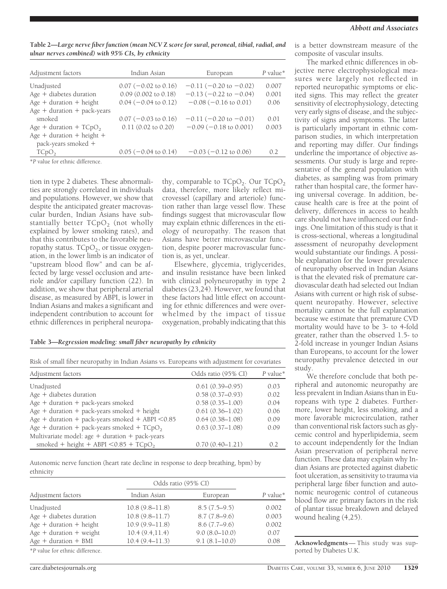**Table 2—***Large nerve fiber function (mean NCV* **Z** *score for sural, peroneal, tibial, radial, and ulnar nerves combined) with 95% CIs, by ethnicity*

| Indian Asian                    | European                       | P value* |
|---------------------------------|--------------------------------|----------|
| $0.07$ (-0.02 to 0.16)          | $-0.11$ ( $-0.20$ to $-0.02$ ) | 0.007    |
| $0.09$ $(0.002$ to $0.18)$      | $-0.13$ ( $-0.22$ to $-0.04$ ) | 0.001    |
| $0.04 (-0.04 \text{ to } 0.12)$ | $-0.08$ ( $-0.16$ to 0.01)     | 0.06     |
|                                 |                                |          |
| $0.07 (-0.03 \text{ to } 0.16)$ | $-0.11$ ( $-0.20$ to $-0.01$ ) | 0.01     |
| $0.11(0.02 \text{ to } 0.20)$   | $-0.09$ ( $-0.18$ to 0.001)    | 0.003    |
|                                 |                                |          |
|                                 |                                |          |
| $0.05$ ( $-0.04$ to 0.14)       | $-0.03$ ( $-0.12$ to 0.06)     | 0.2      |
|                                 |                                |          |

\**P* value for ethnic difference.

tion in type 2 diabetes. These abnormalities are strongly correlated in individuals and populations. However, we show that despite the anticipated greater macrovascular burden, Indian Asians have substantially better  $TCpO<sub>2</sub>$  (not wholly explained by lower smoking rates), and that this contributes to the favorable neuropathy status.  $TCpO<sub>2</sub>$ , or tissue oxygenation, in the lower limb is an indicator of "upstream blood flow" and can be affected by large vessel occlusion and arteriole and/or capillary function (22). In addition, we show that peripheral arterial disease, as measured by ABPI, is lower in Indian Asians and makes a significant and independent contribution to account for ethnic differences in peripheral neuropa-

thy, comparable to  $T CpO<sub>2</sub>$ . Our  $T CpO<sub>2</sub>$ data, therefore, more likely reflect microvessel (capillary and arteriole) function rather than large vessel flow. These findings suggest that microvascular flow may explain ethnic differences in the etiology of neuropathy. The reason that Asians have better microvascular function, despite poorer macrovascular function is, as yet, unclear.

Elsewhere, glycemia, triglycerides, and insulin resistance have been linked with clinical polyneuropathy in type 2 diabetes (23,24). However, we found that these factors had little effect on accounting for ethnic differences and were overwhelmed by the impact of tissue oxygenation, probably indicating that this

#### **Table 3—***Regression modeling: small fiber neuropathy by ethnicity*

Risk of small fiber neuropathy in Indian Asians vs. Europeans with adjustment for covariates

| Adjustment factors                                  | Odds ratio (95% CI) | $P$ value* |
|-----------------------------------------------------|---------------------|------------|
| Unadjusted                                          | $0.61(0.39 - 0.95)$ | 0.03       |
| Age + diabetes duration                             | $0.58(0.37 - 0.93)$ | 0.02       |
| Age + duration + pack-years smoked                  | $0.58(0.35 - 1.00)$ | 0.04       |
| $Age + duration + pack-years$ smoked + height       | $0.61(0.36 - 1.02)$ | 0.06       |
| Age + duration + pack-years smoked + ABPI $< 0.85$  | $0.64(0.38 - 1.08)$ | 0.09       |
| Age + duration + pack-years smoked + $TCpO2$        | $0.63(0.37 - 1.08)$ | 0.09       |
| Multivariate model: age $+$ duration $+$ pack-years |                     |            |
| smoked + height + ABPI $< 0.85 + T CpO2$            | $0.70(0.40 - 1.21)$ | 02         |

Autonomic nerve function (heart rate decline in response to deep breathing, bpm) by ethnicity

|                           | Odds ratio (95% CI) |                   |          |
|---------------------------|---------------------|-------------------|----------|
| Adjustment factors        | Indian Asian        | European          | P value* |
| Unadjusted                | $10.8(9.8 - 11.8)$  | $8.5(7.5-9.5)$    | 0.002    |
| $Age + diabetes duration$ | $10.8(9.8 - 11.7)$  | $8.7(7.8-9.6)$    | 0.003    |
| $Age + duration + height$ | $10.9(9.9 - 11.8)$  | $8.6(7.7-9.6)$    | 0.002    |
| $Age + duration + weight$ | 10.4(9.4, 11.4)     | $9.0(8.0 - 10.0)$ | 0.07     |
| $Age + duration + BMI$    | $10.4(9.4 - 11.3)$  | $9.1(8.1-10.0)$   | 0.08     |
| $\sim$ n 1 f 1 i 1 iff    |                     |                   |          |

\**P* value for ethnic difference.

is a better downstream measure of the composite of vascular insults.

The marked ethnic differences in objective nerve electrophysiological measures were largely not reflected in reported neuropathic symptoms or elicited signs. This may reflect the greater sensitivity of electrophysiology, detecting very early signs of disease, and the subjectivity of signs and symptoms. The latter is particularly important in ethnic comparison studies, in which interpretation and reporting may differ. Our findings underline the importance of objective assessments. Our study is large and representative of the general population with diabetes, as sampling was from primary rather than hospital care, the former having universal coverage. In addition, because health care is free at the point of delivery, differences in access to health care should not have influenced our findings. One limitation of this study is that it is cross-sectional, whereas a longitudinal assessment of neuropathy development would substantiate our findings. A possible explanation for the lower prevalence of neuropathy observed in Indian Asians is that the elevated risk of premature cardiovascular death had selected out Indian Asians with current or high risk of subsequent neuropathy. However, selective mortality cannot be the full explanation because we estimate that premature CVD mortality would have to be 3- to 4-fold greater, rather than the observed 1.5- to 2-fold increase in younger Indian Asians than Europeans, to account for the lower neuropathy prevalence detected in our study.

We therefore conclude that both peripheral and autonomic neuropathy are less prevalent in Indian Asians than in Europeans with type 2 diabetes. Furthermore, lower height, less smoking, and a more favorable microcirculation, rather than conventional risk factors such as glycemic control and hyperlipidemia, seem to account independently for the Indian Asian preservation of peripheral nerve function. These data may explain why Indian Asians are protected against diabetic foot ulceration, as sensitivity to trauma via peripheral large fiber function and autonomic neurogenic control of cutaneous blood flow are primary factors in the risk of plantar tissue breakdown and delayed wound healing (4,25).

**Acknowledgments**— This study was supported by Diabetes U.K.